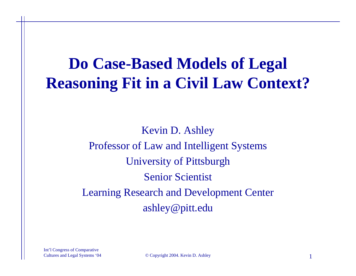# **Do Case-Based Models of Legal Reasoning Fit in a Civil Law Context?**

Kevin D. Ashley Professor of Law and Intelligent Systems University of Pittsburgh Senior Scientist Learning Research and Development Center ashley@pitt.edu

Int'l Congress of Comparative

Cultures and Legal Systems '04 © Copyright 2004. Kevin D. Ashley 1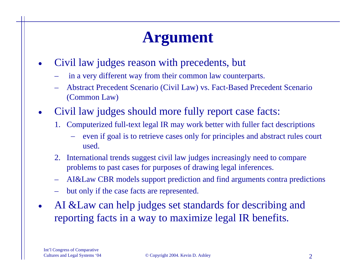# **Argument**

- • Civil law judges reason with precedents, but
	- in a very different way from their common law counterparts.
	- Abstract Precedent Scenario (Civil Law) vs. Fact-Based Precedent Scenario (Common Law)
- • Civil law judges should more fully report case facts:
	- 1. Computerized full-text legal IR may work better with fuller fact descriptions
		- even if goal is to retrieve cases only for principles and abstract rules court used.
	- 2. International trends suggest civil law judges increasingly need to compare problems to past cases for purposes of drawing legal inferences.
	- AI&Law CBR models support prediction and find arguments contra predictions
	- but only if the case facts are represented.
- AI & Law can help judges set standards for describing and reporting facts in a way to maximize legal IR benefits.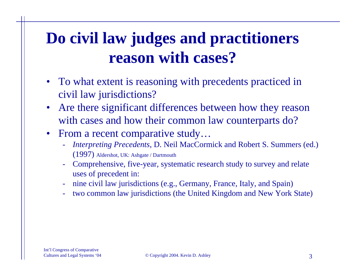# **Do civil law judges and practitioners reason with cases?**

- To what extent is reasoning with precedents practiced in civil law jurisdictions?
- Are there significant differences between how they reason with cases and how their common law counterparts do?
- From a recent comparative study...
	- - *Interpreting Precedents*, D. Neil MacCormick and Robert S. Summers (ed.) (1997) Aldershot, UK: Ashgate / Dartmouth
	- Comprehensive, five-year, systematic research study to survey and relate uses of precedent in:
	- nine civil law jurisdictions (e.g., Germany, France, Italy, and Spain)
	- two common law jurisdictions (the United Kingdom and New York State)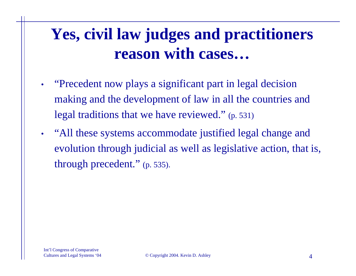# **Yes, civil law judges and practitioners reason with cases…**

- • "Precedent now plays a significant part in legal decision making and the development of law in all the countries and legal traditions that we have reviewed." (p. 531)
- • "All these systems accommodate justified legal change and evolution through judicial as well as legislative action, that is, through precedent." (p. 535).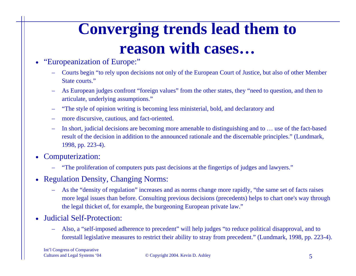# **Converging trends lead them to reason with cases…**

- • "Europeanization of Europe:"
	- Courts begin "to rely upon decisions not only of the European Court of Justice, but also of other Member State courts."
	- As European judges confront "foreign values" from the other states, they "need to question, and then to articulate, underlying assumptions."
	- "The style of opinion writing is becoming less ministerial, bold, and declaratory and
	- more discursive, cautious, and fact-oriented.
	- In short, judicial decisions are becoming more amenable to distinguishing and to … use of the fact-based result of the decision in addition to the announced rationale and the discernable principles." (Lundmark, 1998, pp. 223-4).
- • Computerization:
	- "The proliferation of computers puts past decisions at the fingertips of judges and lawyers."
- • Regulation Density, Changing Norms:
	- As the "density of regulation" increases and as norms change more rapidly, "the same set of facts raises more legal issues than before. Consulting previous decisions (precedents) helps to chart one's way through the legal thicket of, for example, the burgeoning European private law."
- Judicial Self-Protection:
	- Also, a "self-imposed adherence to precedent" will help judges "to reduce political disapproval, and to forestall legislative measures to restrict their ability to stray from precedent." (Lundmark, 1998, pp. 223-4).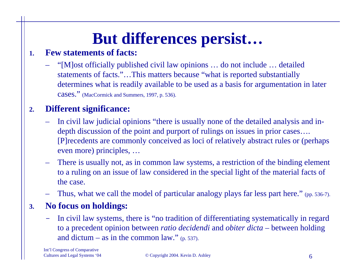# **But differences persist…**

#### **1.Few statements of facts:**

– "[M]ost officially published civil law opinions … do not include … detailed statements of facts."…This matters because "what is reported substantially determines what is readily available to be used as a basis for argumentation in later CASES." (MacCormick and Summers, 1997, p. 536).

#### **2.Different significance:**

- In civil law judicial opinions "there is usually none of the detailed analysis and indepth discussion of the point and purport of rulings on issues in prior cases…. [P]recedents are commonly conceived as loci of relatively abstract rules or (perhaps even more) principles, …
- There is usually not, as in common law systems, a restriction of the binding element to a ruling on an issue of law considered in the special light of the material facts of the case.
- Thus, what we call the model of particular analogy plays far less part here." (pp. 536-7).

#### **3.No focus on holdings:**

- In civil law systems, there is "no tradition of differentiating systematically in regard to a precedent opinion between *ratio decidendi* and *obiter dicta* – between holding and dictum – as in the common law."  $(p. 537)$ .

Int'l Congress of Comparative

Cultures and Legal Systems '04 © Copyright 2004. Kevin D. Ashley 6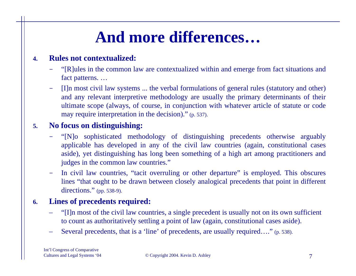# **And more differences…**

#### **4.Rules not contextualized:**

- "[R]ules in the common law are contextualized within and emerge from fact situations and fact patterns. …
- [I]n most civil law systems ... the verbal formulations of general rules (statutory and other) and any relevant interpretive methodology are usually the primary determinants of their ultimate scope (always, of course, in conjunction with whatever article of statute or code may require interpretation in the decision)." (p. 537).

#### **5.No focus on distinguishing:**

- "[N]o sophisticated methodology of distinguishing precedents otherwise arguably applicable has developed in any of the civil law countries (again, constitutional cases aside), yet distinguishing has long been something of a high art among practitioners and judges in the common law countries."
- -In civil law countries, "tacit overruling or other departure" is employed. This obscures lines "that ought to be drawn between closely analogical precedents that point in different directions." (pp. 538-9).

#### **6.Lines of precedents required:**

- "[I]n most of the civil law countries, a single precedent is usually not on its own sufficient to count as authoritatively settling a point of law (again, constitutional cases aside).
- –Several precedents, that is a 'line' of precedents, are usually required...." (p. 538).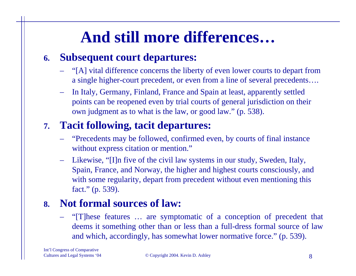# **And still more differences…**

#### **6. Subsequent court departures:**

- "[A] vital difference concerns the liberty of even lower courts to depart from a single higher-court precedent, or even from a line of several precedents….
- In Italy, Germany, Finland, France and Spain at least, apparently settled points can be reopened even by trial courts of general jurisdiction on their own judgment as to what is the law, or good law." (p. 538).

### **7. Tacit following, tacit departures:**

- "Precedents may be followed, confirmed even, by courts of final instance without express citation or mention."
- – Likewise, "[I]n five of the civil law systems in our study, Sweden, Italy, Spain, France, and Norway, the higher and highest courts consciously, and with some regularity, depart from precedent without even mentioning this fact." (p. 539).

### **8. Not formal sources of law:**

– "[T]hese features … are symptomatic of a conception of precedent that deems it something other than or less than a full-dress formal source of law and which, accordingly, has somewhat lower normative force." (p. 539).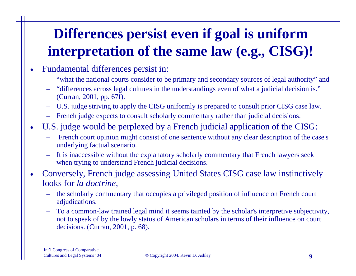## **Differences persist even if goal is uniform interpretation of the same law (e.g., CISG)!**

- • Fundamental differences persist in:
	- "what the national courts consider to be primary and secondary sources of legal authority" and
	- "differences across legal cultures in the understandings even of what a judicial decision is." (Curran, 2001, pp. 67f).
	- U.S. judge striving to apply the CISG uniformly is prepared to consult prior CISG case law.
	- French judge expects to consult scholarly commentary rather than judicial decisions.
- • U.S. judge would be perplexed by a French judicial application of the CISG:
	- French court opinion might consist of one sentence without any clear description of the case's underlying factual scenario.
	- It is inaccessible without the explanatory scholarly commentary that French lawyers seek when trying to understand French judicial decisions.

 $\bullet$  Conversely, French judge assessing United States CISG case law instinctively looks for *la doctrine,*

- the scholarly commentary that occupies a privileged position of influence on French court adjudications.
- To a common-law trained legal mind it seems tainted by the scholar's interpretive subjectivity, not to speak of by the lowly status of American scholars in terms of their influence on court decisions. (Curran, 2001, p. 68).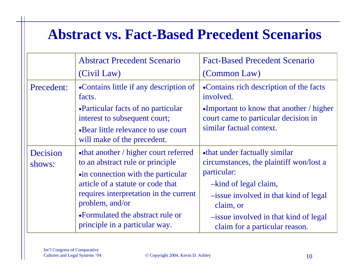### **Abstract vs. Fact-Based Precedent Scenarios**

|                    | <b>Abstract Precedent Scenario</b>                                                                                                                                                             | <b>Fact-Based Precedent Scenario</b>                                                                                                                      |
|--------------------|------------------------------------------------------------------------------------------------------------------------------------------------------------------------------------------------|-----------------------------------------------------------------------------------------------------------------------------------------------------------|
|                    | (Civil Law)                                                                                                                                                                                    | (Common Law)                                                                                                                                              |
| Precedent:         | •Contains little if any description of<br>facts.                                                                                                                                               | •Contains rich description of the facts<br>involved.                                                                                                      |
|                    | •Particular facts of no particular<br>interest to subsequent court;                                                                                                                            | •Important to know that another $\ell$ higher<br>court came to particular decision in                                                                     |
|                    | •Bear little relevance to use court<br>will make of the precedent.                                                                                                                             | similar factual context.                                                                                                                                  |
| Decision<br>shows: | •that another / higher court referred<br>to an abstract rule or principle<br>•in connection with the particular<br>article of a statute or code that<br>requires interpretation in the current | •that under factually similar<br>circumstances, the plaintiff won/lost a<br>particular:<br>-kind of legal claim,<br>-issue involved in that kind of legal |
|                    | problem, and/or                                                                                                                                                                                | claim, or                                                                                                                                                 |
|                    | •Formulated the abstract rule or<br>principle in a particular way.                                                                                                                             | -issue involved in that kind of legal<br>claim for a particular reason.                                                                                   |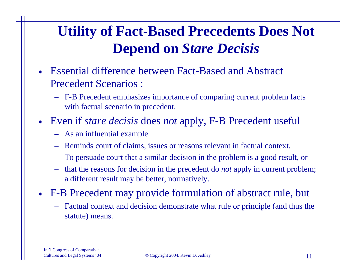## **Utility of Fact-Based Precedents Does Not Depend on** *Stare Decisis*

- • Essential difference between Fact-Based and Abstract Precedent Scenarios :
	- F-B Precedent emphasizes importance of comparing current problem facts with factual scenario in precedent.
- Even if *stare decisis* does *not* apply, F-B Precedent useful
	- As an influential example.
	- Reminds court of claims, issues or reasons relevant in factual context.
	- To persuade court that a similar decision in the problem is a good result, or
	- – that the reasons for decision in the precedent do *not* apply in current problem; a different result may be better, normatively.
- F-B Precedent may provide formulation of abstract rule, but
	- Factual context and decision demonstrate what rule or principle (and thus the statute) means.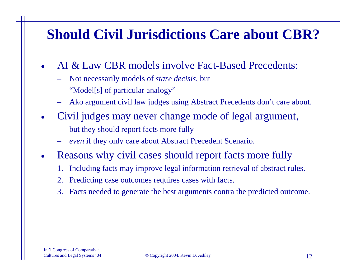### **Should Civil Jurisdictions Care about CBR?**

- • AI & Law CBR models involve Fact-Based Precedents:
	- Not necessarily models of *stare decisis*, but
	- "Model[s] of particular analogy"
	- Ako argument civil law judges using Abstract Precedents don't care about.
- $\bullet$  Civil judges may never change mode of legal argument,
	- but they should report facts more fully
	- *even* if they only care about Abstract Precedent Scenario.
- $\bullet$  Reasons why civil cases should report facts more fully
	- 1. Including facts may improve legal information retrieval of abstract rules.
	- 2. Predicting case outcomes requires cases with facts.
	- 3. Facts needed to generate the best arguments contra the predicted outcome.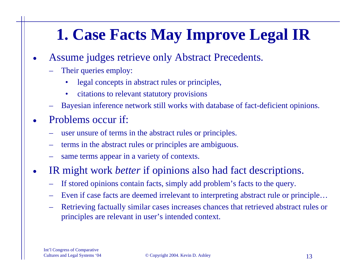# **1. Case Facts May Improve Legal IR**

- • Assume judges retrieve only Abstract Precedents.
	- Their queries employ:
		- •legal concepts in abstract rules or principles,
		- $\bullet$ citations to relevant statutory provisions
	- Bayesian inference network still works with database of fact-deficient opinions.
- • Problems occur if:
	- user unsure of terms in the abstract rules or principles.
	- terms in the abstract rules or principles are ambiguous.
	- same terms appear in a variety of contexts.
- • IR might work *better* if opinions also had fact descriptions.
	- If stored opinions contain facts, simply add problem's facts to the query.
	- Even if case facts are deemed irrelevant to interpreting abstract rule or principle…
	- Retrieving factually similar cases increases chances that retrieved abstract rules or principles are relevant in user's intended context.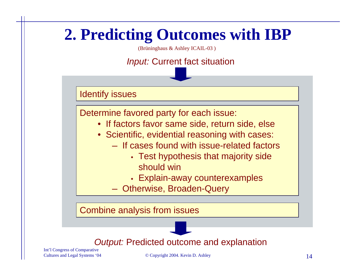### **2. Predicting Outcomes with IBP** (Brüninghaus & Ashley ICAIL-03 ) *Input:* Current fact situation

Identify issues

Determine favored party for each issue:

- If factors favor same side, return side, else
- Scientific, evidential reasoning with cases:
	- $-$  If cases found with issue-related factors
		- Test hypothesis that majority side should win
		- Explain-away counterexamples
	- Otherwise, Broaden-Query

Combine analysis from issues



Int'l Congress of Comparative

Cultures and Legal Systems '04 © Copyright 2004. Kevin D. Ashley 14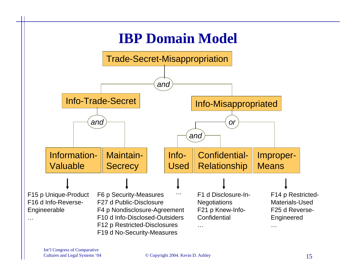# **IBP Domain Model**

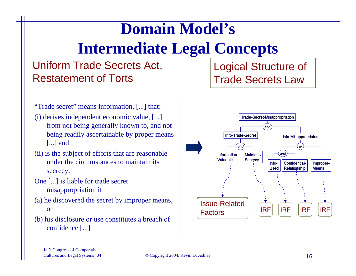# **Domain Model's Intermediate Legal Concepts**

### Uniform Trade Secrets Act, Restatement of Torts

"Trade secret" means information, [...] that:

- (i) derives independent economic value, [...] from not being generally known to, and not being readily ascertainable by proper means [...] and
- (ii) is the subject of efforts that are reasonable under the circumstances to maintain its secrecy.
- One [...] is liable for trade secret misappropriation if
- (a) he discovered the secret by improper means, or
- (b) his disclosure or use constitutes a breach of confidence [...]

Logical Structure of Trade Secrets Law

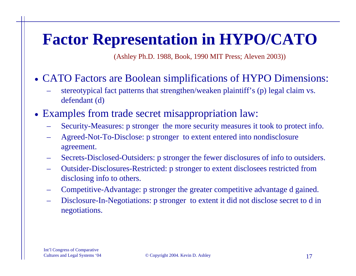# **Factor Representation in HYPO/CATO**

(Ashley Ph.D. 1988, Book, 1990 MIT Press; Aleven 2003))

- CATO Factors are Boolean simplifications of HYPO Dimensions:
	- stereotypical fact patterns that strengthen/weaken plaintiff's (p) legal claim vs. defendant (d)
- Examples from trade secret misappropriation law:
	- Security-Measures: p stronger the more security measures it took to protect info.
	- Agreed-Not-To-Disclose: p stronger to extent entered into nondisclosure agreement.
	- Secrets-Disclosed-Outsiders: p stronger the fewer disclosures of info to outsiders.
	- Outsider-Disclosures-Restricted: p stronger to extent disclosees restricted from disclosing info to others.
	- Competitive-Advantage: p stronger the greater competitive advantage d gained.
	- Disclosure-In-Negotiations: p stronger to extent it did not disclose secret to d in negotiations.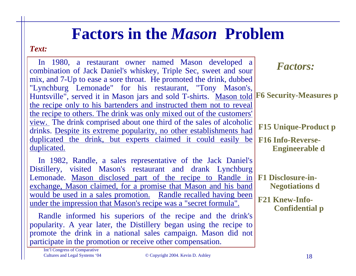## **Factors in the** *Mason* **Problem**

#### *Text:*

| In 1980, a restaurant owner named Mason developed a<br>combination of Jack Daniel's whiskey, Triple Sec, sweet and sour                                                                                                                                                                                                                                                                                                                                                                                                                                                                                                                                                                 | <b>Factors:</b>                                                         |
|-----------------------------------------------------------------------------------------------------------------------------------------------------------------------------------------------------------------------------------------------------------------------------------------------------------------------------------------------------------------------------------------------------------------------------------------------------------------------------------------------------------------------------------------------------------------------------------------------------------------------------------------------------------------------------------------|-------------------------------------------------------------------------|
| mix, and 7-Up to ease a sore throat. He promoted the drink, dubbed<br>"Lynchburg Lemonade" for his restaurant, "Tony Mason's,<br>Huntsville", served it in Mason jars and sold T-shirts. Mason told F6 Security-Measures p<br>the recipe only to his bartenders and instructed them not to reveal<br>the recipe to others. The drink was only mixed out of the customers'                                                                                                                                                                                                                                                                                                               |                                                                         |
| view. The drink comprised about one third of the sales of alcoholic<br>drinks. Despite its extreme popularity, no other establishments had                                                                                                                                                                                                                                                                                                                                                                                                                                                                                                                                              | <b>F15 Unique-Product p</b>                                             |
| duplicated the drink, but experts claimed it could easily be<br>duplicated.                                                                                                                                                                                                                                                                                                                                                                                                                                                                                                                                                                                                             | <b>F16 Info-Reverse-</b><br><b>Engineerable d</b>                       |
| In 1982, Randle, a sales representative of the Jack Daniel's<br>Distillery, visited Mason's restaurant and drank Lynchburg<br>Lemonade. Mason disclosed part of the recipe to Randle in F1 Disclosure-in-<br>exchange, Mason claimed, for a promise that Mason and his band<br>would be used in a sales promotion. Randle recalled having been<br>under the impression that Mason's recipe was a "secret formula".<br>Randle informed his superiors of the recipe and the drink's<br>popularity. A year later, the Distillery began using the recipe to<br>promote the drink in a national sales campaign. Mason did not<br>participate in the promotion or receive other compensation. | <b>Negotiations d</b><br><b>F21 Knew-Info-</b><br><b>Confidential p</b> |

Int'l Congress of Comparative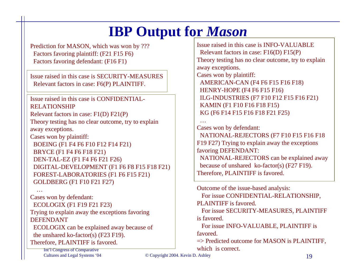## **IBP Output for** *Mason*

Prediction for MASON, which was won by ??? Factors favoring plaintiff: (F21 F15 F6) Factors favoring defendant: (F16 F1)

Issue raised in this case is SECURITY-MEASURES Rel evant factors in case: F6(P) PLAINTIFF.

#### Issue raised in this case is CONFIDENTIAL-RELATIONSHIP

Relevant factors in case: F1(D) F21(P) Theory testing has no clear outcome, try t o explain away exceptions.

Cases won by plainti ff: BOEING (F1 F4 F6 F10 F12 F14 F21) BRYCE (F1 F4 F6 F18 F21) DEN-TAL-EZ (F1 F4 F6 F21 F26) DIGITAL-DEVELOPMENT (F1 F6 F8 F15 F18 F21) FOREST-LABORATORIES (F1 F6 F15 F21) GOLDBERG (F1 F10 F21 F27)

…Cases won by defendant: ECOLOGIX (F1 F19 F21 F23) Trying to explain away the exceptions favoring DEFENDANTECOLOGIX can be explained away because of the unshared ko-factor(s) (F23 F19).

Therefore, PLAINTIFF is favored.

Int'l Congress of Comparative

Issue raised in this case is INFO-VALUABLE Relevant factors in case: F16(D) F15(P) Theory testing has no clear outcome, try t o explain away exceptions. Cases won by plainti ff: AMERICAN-CAN (F4 F6 F15 F16 F18) HENRY-HOPE (F4 F6 F15 F16) ILG-INDUSTRIES (F7 F10 F12 F15 F16 F21) KAMIN (F1 F10 F16 F18 F15) KG (F6 F14 F15 F16 F18 F21 F25)

#### …Cases won by defendant: NATIONAL-REJECTORS (F7 F10 F15 F16 F18 F19 F27) Trying to explain away the exceptions favoring DEFENDANT: NATIONAL-REJECTORS can be explained away

because of unshared ko-factor(s) (F27 F19). Therefore, PLAINTIFF is favored.

Outco me of the issue-bas ed analysis: For issue CONFIDENTIAL-RELATIONSHIP, PLAINTIFF is favored.

For issue SECURITY-MEASURES, PLAINTIFF is favored.

For issue INFO-VALUABLE, PLAINTIFF is favored.

=> Predicted outcome for MASON is PLAINTIFF, which is correct.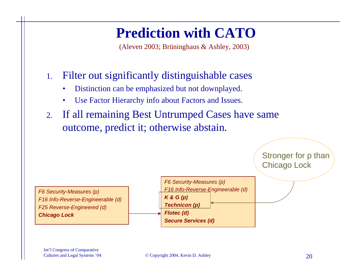### **Prediction with CATO**

(Aleven 2003; Brüninghaus & Ashley, 2003)

- 1. Filter out significantly distinguishable cases
	- •Distinction can be emphasized but not downplayed.
	- •Use Factor Hierarchy info about Factors and Issues.
- 2. If all remaining Best Untrumped Cases have same outcome, predict it; otherwise abstain.

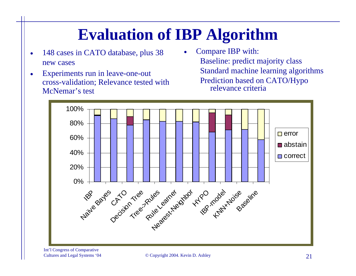# **Evaluation of IBP Algorithm**

•

- • 148 cases in CATO database, plus 38 new cases
- • Experiments run in leave-one-out cross-validation; Relevance tested with McNemar's test
- Compare IBP with: Baseline: predict majority class Standard machine learning algorithms Prediction based on CATO/Hypo relevance criteria



Int'l Congress of Comparative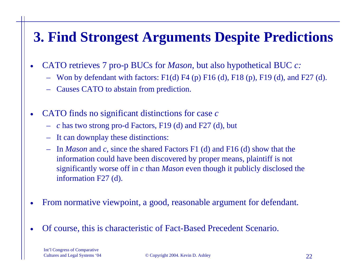## **3. Find Strongest Arguments Despite Predictions**

- • CATO retrieves 7 pro-p BUCs for *Mason*, but also hypothetical BUC *c:*
	- Won by defendant with factors: F1(d) F4 (p) F16 (d), F18 (p), F19 (d), and F27 (d).
	- Causes CATO to abstain from prediction.
- • CATO finds no significant distinctions for case *<sup>c</sup>*
	- *<sup>c</sup>* has two strong pro-d Factors, F19 (d) and F27 (d), but
	- It can downplay these distinctions:
	- In *Mason* and *<sup>c</sup>*, since the shared Factors F1 (d) and F16 (d) show that the information could have been discovered by proper means, plaintiff is not significantly worse off in *<sup>c</sup>* than *Mason* even though it publicly disclosed the information F27 (d).
- •From normative viewpoint, a good, reasonable argument for defendant.
- •Of course, this is characteristic of Fact-Based Precedent Scenario.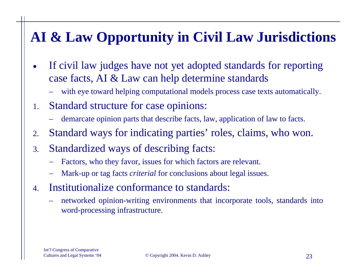## **AI & Law Opportunity in Civil Law Jurisdictions**

- • If civil law judges have not yet adopted standards for reporting case facts, AI & Law can help determine standards
	- with eye toward helping computational models process case texts automatically.
- 1. Standard structure for case opinions:
	- demarcate opinion parts that describe facts, law, application of law to facts.
- 2.Standard ways for indicating parties' roles, claims, who won.
- 3. Standardized ways of describing facts:
	- Factors, who they favor, issues for which factors are relevant.
	- Mark-up or tag facts *criterial* for conclusions about legal issues.
- 4. Institutionalize conformance to standards:
	- – networked opinion-writing environments that incorporate tools, standards into word-processing infrastructure.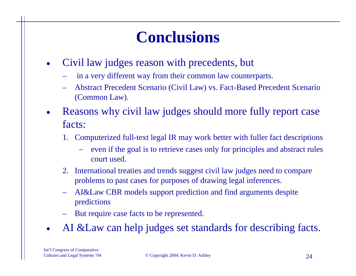# **Conclusions**

- • Civil law judges reason with precedents, but
	- in a very different way from their common law counterparts.
	- Abstract Precedent Scenario (Civil Law) vs. Fact-Based Precedent Scenario (Common Law).
- • Reasons why civil law judges should more fully report case facts:
	- 1. Computerized full-text legal IR may work better with fuller fact descriptions
		- even if the goal is to retrieve cases only for principles and abstract rules court used.
	- 2. International treaties and trends suggest civil law judges need to compare problems to past cases for purposes of drawing legal inferences.
	- AI&Law CBR models support prediction and find arguments despite predictions
	- But require case facts to be represented.
- •AI &Law can help judges set standards for describing facts.